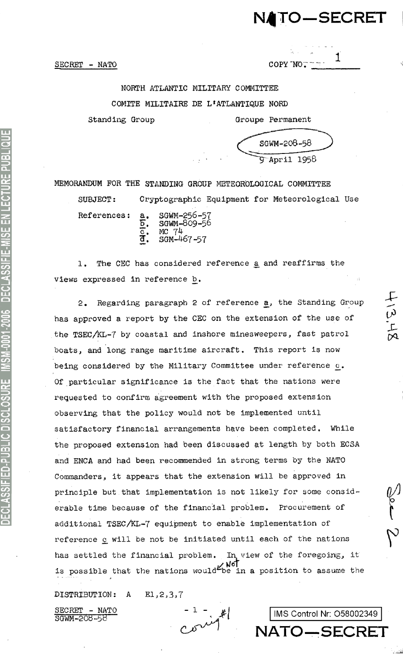# NATO-SECRET

1

 $\frac{1}{2}$ 

SECRET - NATO

# NORTH ATLANTIC MILITARY COMMITTEE COMITE MILITAIRE DE L'ATLANTIQUE NORD

Standing Group

| SGWM-208-58 |  |
|-------------|--|
| "April 1958 |  |

Groupe Permanent

 $\text{COPY}$  NO.

MEMORANDUM FOR THE STANDING GROUP METEOROLOGICAL COMMITTEE Cryptographic Equipment for Meteorological Use SUBJECT:

References:

SGWM-256-57<br>SGWM-809-56 চ. MC 74<br>SGM-467-57

1. The CEC has considered reference a and reaffirms the views expressed in reference b.

Regarding paragraph 2 of reference a, the Standing Group  $\mathcal{P}_{\bullet}$ has approved a report by the CEC on the extension of the use of the TSEC/KL-7 by coastal and inshore minesweepers, fast patrol boats, and long range maritime aircraft. This report is now being considered by the Military Committee under reference c. Of particular significance is the fact that the nations were requested to confirm agreement with the proposed extension observing that the policy would not be implemented until satisfactory financial arrangements have been completed. While the proposed extension had been discussed at length by both ECSA and ENCA and had been recommended in strong terms by the NATO Commanders, it appears that the extension will be approved in principle but that implementation is not likely for some considerable time because of the financial problem. Procurement of additional TSEC/KL-7 equipment to enable implementation of reference c will be not be initiated until each of the nations has settled the financial problem. In view of the foregoing, it is possible that the nations would be in a position to assume the

DISTRIBUTION:  $\mathbf{A}$  $E1, 2, 3, 7$ 

SECRET - NATS<br>SGWM-208-58 - NATO

IMS Control Nr: O58002349 NATO-SECRET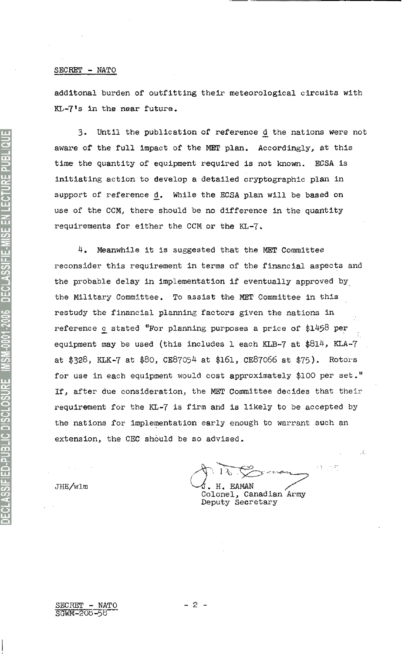#### **S***E***CRET - NATO**

additonal burden of outfitting their meteorological *circuits* with KL-7's in the near future.

3. Until the publication of reference d the nations were not awa*r*e of the full impact of the MET plan. Accordingly, at this time the quantity of equipment required is not known. ECSA is initiating action to develop a detailed crypt*o*graphic plan in support of reference d. While the ECSA plan will be based on use of the CCM, there should be no difference in the quantity requirements for either the CCM or the KL-7.

4. Meanwhile it is suggested that the MET Committee reconsider this requirement in terms of the financial aspects and the probable delay in implementation if eventually app*r*oved by the Military Committee. To assist the MET Committee in this restudy the financial planning factors given the nations in reference  $c$  stated "For planning purposes a price of \$1458 per equipment may be used (this includes 1 each KLB-7 at  $$814$ , KLA-7 at \$328, KLK-7 at \$80, CE87054 at \$l6l, CE87066 at \$75). Rotors for use in each equipment would cost approximately \$100 per set." If, after due consideration, the *M*ET Committee decides that their requirement for the KL-7 is firm and is likely to be accepted by the nations for implementation early enough to warrant such an extension, the CEC should be so advised.

**Colonel, Canadian Army** JHE/wlm **blue 1** H. EAMAN

**Deputy Secretary**

**-** 2 **-**